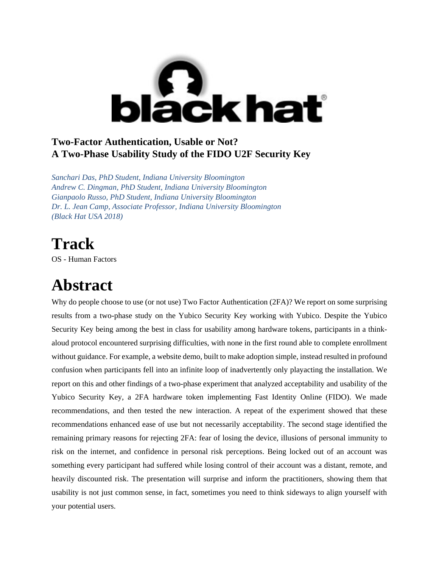

#### **Two-Factor Authentication, Usable or Not? A Two-Phase Usability Study of the FIDO U2F Security Key**

*Sanchari Das, PhD Student, Indiana University Bloomington Andrew C. Dingman, PhD Student, Indiana University Bloomington Gianpaolo Russo, PhD Student, Indiana University Bloomington Dr. L. Jean Camp, Associate Professor, Indiana University Bloomington (Black Hat USA 2018)*

# **Track**

OS - Human Factors

### **Abstract**

Why do people choose to use (or not use) Two Factor Authentication (2FA)? We report on some surprising results from a two-phase study on the Yubico Security Key working with Yubico. Despite the Yubico Security Key being among the best in class for usability among hardware tokens, participants in a thinkaloud protocol encountered surprising difficulties, with none in the first round able to complete enrollment without guidance. For example, a website demo, built to make adoption simple, instead resulted in profound confusion when participants fell into an infinite loop of inadvertently only playacting the installation. We report on this and other findings of a two-phase experiment that analyzed acceptability and usability of the Yubico Security Key, a 2FA hardware token implementing Fast Identity Online (FIDO). We made recommendations, and then tested the new interaction. A repeat of the experiment showed that these recommendations enhanced ease of use but not necessarily acceptability. The second stage identified the remaining primary reasons for rejecting 2FA: fear of losing the device, illusions of personal immunity to risk on the internet, and confidence in personal risk perceptions. Being locked out of an account was something every participant had suffered while losing control of their account was a distant, remote, and heavily discounted risk. The presentation will surprise and inform the practitioners, showing them that usability is not just common sense, in fact, sometimes you need to think sideways to align yourself with your potential users.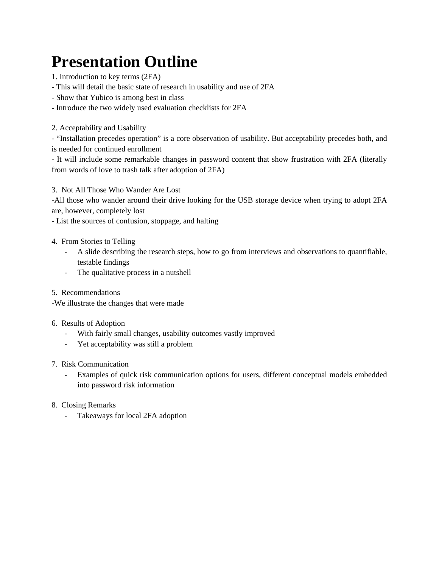# **Presentation Outline**

1. Introduction to key terms (2FA)

- This will detail the basic state of research in usability and use of 2FA

- Show that Yubico is among best in class

- Introduce the two widely used evaluation checklists for 2FA

2. Acceptability and Usability

- "Installation precedes operation" is a core observation of usability. But acceptability precedes both, and is needed for continued enrollment

- It will include some remarkable changes in password content that show frustration with 2FA (literally from words of love to trash talk after adoption of 2FA)

3. Not All Those Who Wander Are Lost

-All those who wander around their drive looking for the USB storage device when trying to adopt 2FA are, however, completely lost

- List the sources of confusion, stoppage, and halting

- 4. From Stories to Telling
	- A slide describing the research steps, how to go from interviews and observations to quantifiable, testable findings
	- The qualitative process in a nutshell
- 5. Recommendations

-We illustrate the changes that were made

- 6. Results of Adoption
	- With fairly small changes, usability outcomes vastly improved
	- Yet acceptability was still a problem
- 7. Risk Communication
	- Examples of quick risk communication options for users, different conceptual models embedded into password risk information
- 8. Closing Remarks
	- Takeaways for local 2FA adoption